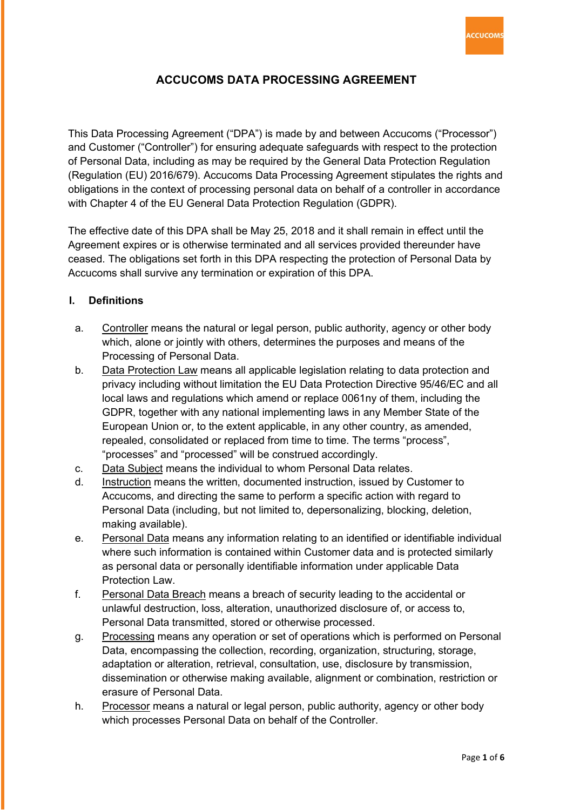

# **ACCUCOMS DATA PROCESSING AGREEMENT**

This Data Processing Agreement ("DPA") is made by and between Accucoms ("Processor") and Customer ("Controller") for ensuring adequate safeguards with respect to the protection of Personal Data, including as may be required by the General Data Protection Regulation (Regulation (EU) 2016/679). Accucoms Data Processing Agreement stipulates the rights and obligations in the context of processing personal data on behalf of a controller in accordance with Chapter 4 of the EU General Data Protection Regulation (GDPR).

The effective date of this DPA shall be May 25, 2018 and it shall remain in effect until the Agreement expires or is otherwise terminated and all services provided thereunder have ceased. The obligations set forth in this DPA respecting the protection of Personal Data by Accucoms shall survive any termination or expiration of this DPA.

## **I. Definitions**

- a. Controller means the natural or legal person, public authority, agency or other body which, alone or jointly with others, determines the purposes and means of the Processing of Personal Data.
- b. Data Protection Law means all applicable legislation relating to data protection and privacy including without limitation the EU Data Protection Directive 95/46/EC and all local laws and regulations which amend or replace 0061ny of them, including the GDPR, together with any national implementing laws in any Member State of the European Union or, to the extent applicable, in any other country, as amended, repealed, consolidated or replaced from time to time. The terms "process", "processes" and "processed" will be construed accordingly.
- c. Data Subject means the individual to whom Personal Data relates.
- d. Instruction means the written, documented instruction, issued by Customer to Accucoms, and directing the same to perform a specific action with regard to Personal Data (including, but not limited to, depersonalizing, blocking, deletion, making available).
- e. Personal Data means any information relating to an identified or identifiable individual where such information is contained within Customer data and is protected similarly as personal data or personally identifiable information under applicable Data Protection Law.
- f. Personal Data Breach means a breach of security leading to the accidental or unlawful destruction, loss, alteration, unauthorized disclosure of, or access to, Personal Data transmitted, stored or otherwise processed.
- g. Processing means any operation or set of operations which is performed on Personal Data, encompassing the collection, recording, organization, structuring, storage, adaptation or alteration, retrieval, consultation, use, disclosure by transmission, dissemination or otherwise making available, alignment or combination, restriction or erasure of Personal Data.
- h. Processor means a natural or legal person, public authority, agency or other body which processes Personal Data on behalf of the Controller.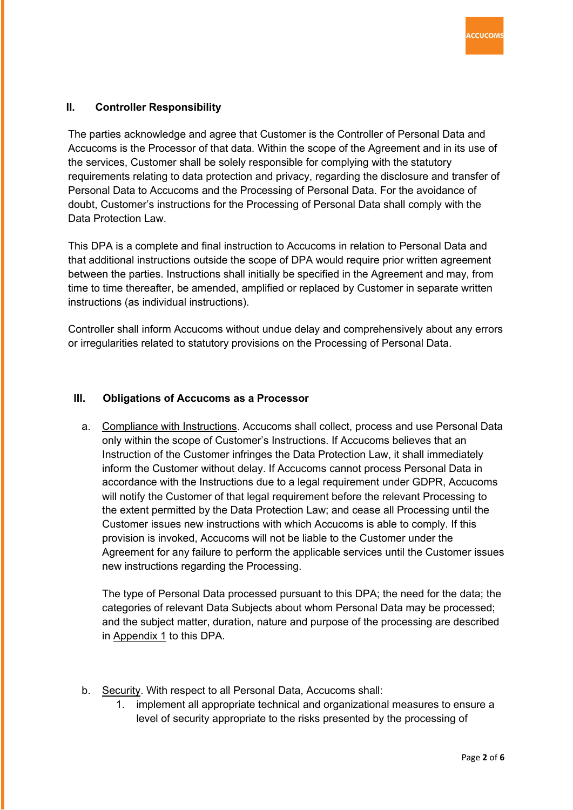## **II. Controller Responsibility**

The parties acknowledge and agree that Customer is the Controller of Personal Data and Accucoms is the Processor of that data. Within the scope of the Agreement and in its use of the services, Customer shall be solely responsible for complying with the statutory requirements relating to data protection and privacy, regarding the disclosure and transfer of Personal Data to Accucoms and the Processing of Personal Data. For the avoidance of doubt, Customer's instructions for the Processing of Personal Data shall comply with the Data Protection Law

This DPA is a complete and final instruction to Accucoms in relation to Personal Data and that additional instructions outside the scope of DPA would require prior written agreement between the parties. Instructions shall initially be specified in the Agreement and may, from time to time thereafter, be amended, amplified or replaced by Customer in separate written instructions (as individual instructions).

Controller shall inform Accucoms without undue delay and comprehensively about any errors or irregularities related to statutory provisions on the Processing of Personal Data.

#### **III. Obligations of Accucoms as a Processor**

a. Compliance with Instructions. Accucoms shall collect, process and use Personal Data only within the scope of Customer's Instructions. If Accucoms believes that an Instruction of the Customer infringes the Data Protection Law, it shall immediately inform the Customer without delay. If Accucoms cannot process Personal Data in accordance with the Instructions due to a legal requirement under GDPR, Accucoms will notify the Customer of that legal requirement before the relevant Processing to the extent permitted by the Data Protection Law; and cease all Processing until the Customer issues new instructions with which Accucoms is able to comply. If this provision is invoked, Accucoms will not be liable to the Customer under the Agreement for any failure to perform the applicable services until the Customer issues new instructions regarding the Processing.

The type of Personal Data processed pursuant to this DPA; the need for the data; the categories of relevant Data Subjects about whom Personal Data may be processed; and the subject matter, duration, nature and purpose of the processing are described in Appendix 1 to this DPA.

- b. Security. With respect to all Personal Data, Accucoms shall:
	- 1. implement all appropriate technical and organizational measures to ensure a level of security appropriate to the risks presented by the processing of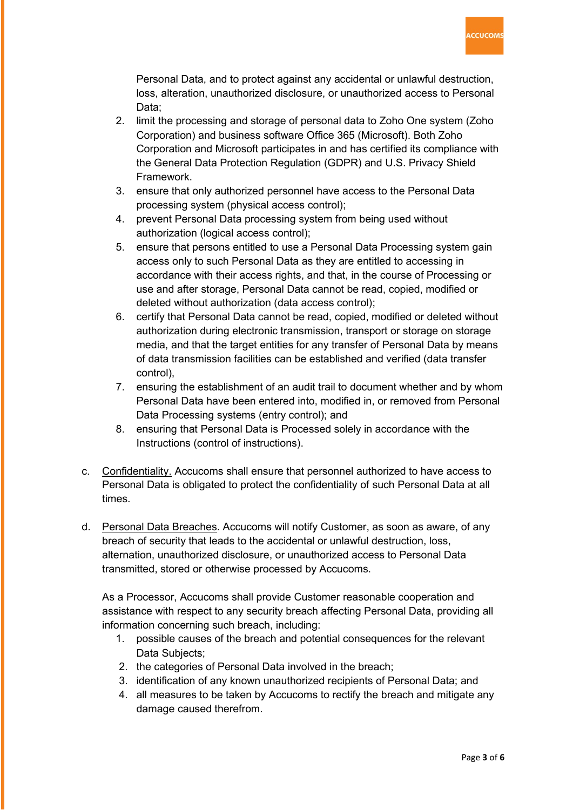

Personal Data, and to protect against any accidental or unlawful destruction, loss, alteration, unauthorized disclosure, or unauthorized access to Personal Data;

- 2. limit the processing and storage of personal data to Zoho One system (Zoho Corporation) and business software Office 365 (Microsoft). Both Zoho Corporation and Microsoft participates in and has certified its compliance with the General Data Protection Regulation (GDPR) and U.S. Privacy Shield Framework.
- 3. ensure that only authorized personnel have access to the Personal Data processing system (physical access control);
- 4. prevent Personal Data processing system from being used without authorization (logical access control);
- 5. ensure that persons entitled to use a Personal Data Processing system gain access only to such Personal Data as they are entitled to accessing in accordance with their access rights, and that, in the course of Processing or use and after storage, Personal Data cannot be read, copied, modified or deleted without authorization (data access control);
- 6. certify that Personal Data cannot be read, copied, modified or deleted without authorization during electronic transmission, transport or storage on storage media, and that the target entities for any transfer of Personal Data by means of data transmission facilities can be established and verified (data transfer control),
- 7. ensuring the establishment of an audit trail to document whether and by whom Personal Data have been entered into, modified in, or removed from Personal Data Processing systems (entry control); and
- 8. ensuring that Personal Data is Processed solely in accordance with the Instructions (control of instructions).
- c. Confidentiality. Accucoms shall ensure that personnel authorized to have access to Personal Data is obligated to protect the confidentiality of such Personal Data at all times.
- d. Personal Data Breaches. Accucoms will notify Customer, as soon as aware, of any breach of security that leads to the accidental or unlawful destruction, loss, alternation, unauthorized disclosure, or unauthorized access to Personal Data transmitted, stored or otherwise processed by Accucoms.

As a Processor, Accucoms shall provide Customer reasonable cooperation and assistance with respect to any security breach affecting Personal Data, providing all information concerning such breach, including:

- 1. possible causes of the breach and potential consequences for the relevant Data Subjects;
- 2. the categories of Personal Data involved in the breach;
- 3. identification of any known unauthorized recipients of Personal Data; and
- 4. all measures to be taken by Accucoms to rectify the breach and mitigate any damage caused therefrom.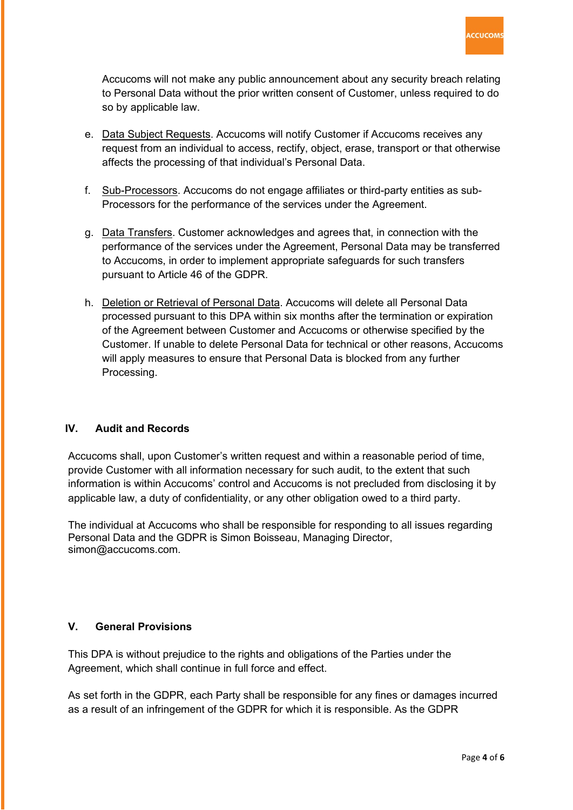

Accucoms will not make any public announcement about any security breach relating to Personal Data without the prior written consent of Customer, unless required to do so by applicable law.

- e. Data Subject Requests. Accucoms will notify Customer if Accucoms receives any request from an individual to access, rectify, object, erase, transport or that otherwise affects the processing of that individual's Personal Data.
- f. Sub-Processors. Accucoms do not engage affiliates or third-party entities as sub-Processors for the performance of the services under the Agreement.
- g. Data Transfers. Customer acknowledges and agrees that, in connection with the performance of the services under the Agreement, Personal Data may be transferred to Accucoms, in order to implement appropriate safeguards for such transfers pursuant to Article 46 of the GDPR.
- h. Deletion or Retrieval of Personal Data. Accucoms will delete all Personal Data processed pursuant to this DPA within six months after the termination or expiration of the Agreement between Customer and Accucoms or otherwise specified by the Customer. If unable to delete Personal Data for technical or other reasons, Accucoms will apply measures to ensure that Personal Data is blocked from any further Processing.

#### **IV. Audit and Records**

Accucoms shall, upon Customer's written request and within a reasonable period of time, provide Customer with all information necessary for such audit, to the extent that such information is within Accucoms' control and Accucoms is not precluded from disclosing it by applicable law, a duty of confidentiality, or any other obligation owed to a third party.

The individual at Accucoms who shall be responsible for responding to all issues regarding Personal Data and the GDPR is Simon Boisseau, Managing Director, simon@accucoms.com.

#### **V. General Provisions**

This DPA is without prejudice to the rights and obligations of the Parties under the Agreement, which shall continue in full force and effect.

As set forth in the GDPR, each Party shall be responsible for any fines or damages incurred as a result of an infringement of the GDPR for which it is responsible. As the GDPR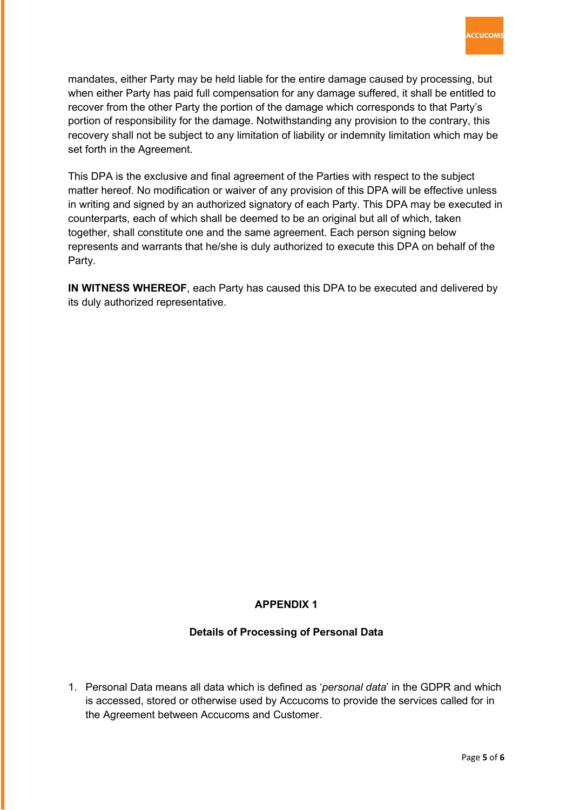mandates, either Party may be held liable for the entire damage caused by processing, but when either Party has paid full compensation for any damage suffered, it shall be entitled to recover from the other Party the portion of the damage which corresponds to that Party's portion of responsibility for the damage. Notwithstanding any provision to the contrary, this recovery shall not be subject to any limitation of liability or indemnity limitation which may be set forth in the Agreement.

This DPA is the exclusive and final agreement of the Parties with respect to the subject matter hereof. No modification or waiver of any provision of this DPA will be effective unless in writing and signed by an authorized signatory of each Party. This DPA may be executed in counterparts, each of which shall be deemed to be an original but all of which, taken together, shall constitute one and the same agreement. Each person signing below represents and warrants that he/she is duly authorized to execute this DPA on behalf of the Party.

**IN WITNESS WHEREOF**, each Party has caused this DPA to be executed and delivered by its duly authorized representative.

# **APPENDIX 1**

# **Details of Processing of Personal Data**

1. Personal Data means all data which is defined as '*personal data*' in the GDPR and which is accessed, stored or otherwise used by Accucoms to provide the services called for in the Agreement between Accucoms and Customer.